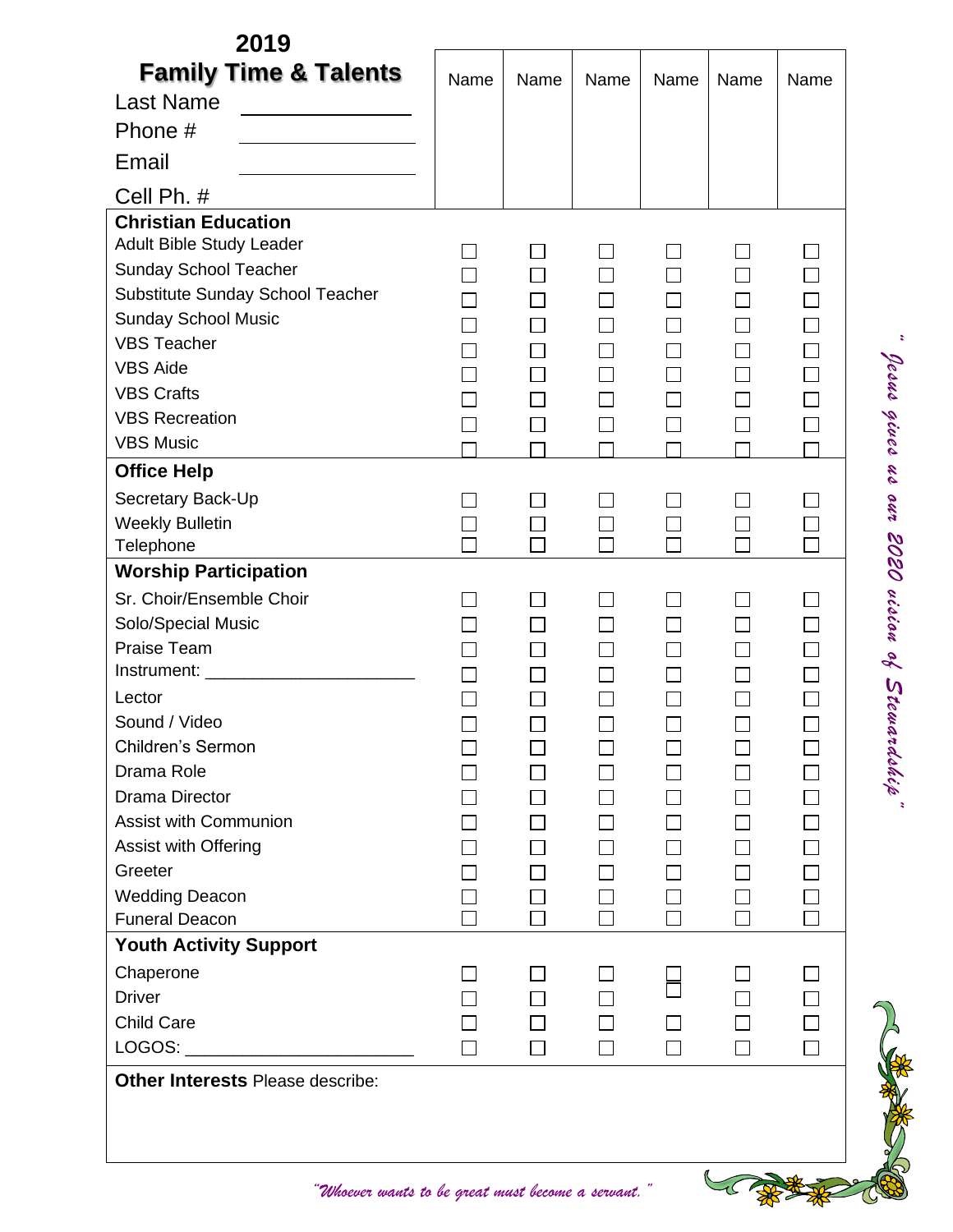| 2019                                                                                                                                                                                                                                                                                                                                                                                                                                                            |                |        |      |                |                             |        |                |
|-----------------------------------------------------------------------------------------------------------------------------------------------------------------------------------------------------------------------------------------------------------------------------------------------------------------------------------------------------------------------------------------------------------------------------------------------------------------|----------------|--------|------|----------------|-----------------------------|--------|----------------|
| <b>Family Time &amp; Talents</b>                                                                                                                                                                                                                                                                                                                                                                                                                                | Name           | Name   | Name | Name           | Name                        | Name   |                |
| <b>Last Name</b>                                                                                                                                                                                                                                                                                                                                                                                                                                                |                |        |      |                |                             |        |                |
| Phone #                                                                                                                                                                                                                                                                                                                                                                                                                                                         |                |        |      |                |                             |        |                |
| Email                                                                                                                                                                                                                                                                                                                                                                                                                                                           |                |        |      |                |                             |        |                |
| Cell Ph. #                                                                                                                                                                                                                                                                                                                                                                                                                                                      |                |        |      |                |                             |        |                |
| <b>Christian Education</b><br>Adult Bible Study Leader                                                                                                                                                                                                                                                                                                                                                                                                          | $\blacksquare$ | $\Box$ |      | $\blacksquare$ | $\blacksquare$              | $\Box$ |                |
| <b>Sunday School Teacher</b>                                                                                                                                                                                                                                                                                                                                                                                                                                    | П              | $\Box$ |      |                | $\Box$                      |        |                |
| Substitute Sunday School Teacher                                                                                                                                                                                                                                                                                                                                                                                                                                |                | П      |      |                | $\overline{\phantom{a}}$    | П      |                |
| <b>Sunday School Music</b>                                                                                                                                                                                                                                                                                                                                                                                                                                      |                | П      |      |                | $\Box$                      | $\Box$ |                |
| <b>VBS Teacher</b>                                                                                                                                                                                                                                                                                                                                                                                                                                              |                | $\Box$ |      |                | $\Box$                      | $\Box$ |                |
| <b>VBS Aide</b>                                                                                                                                                                                                                                                                                                                                                                                                                                                 |                | $\Box$ |      |                | $\Box$                      | $\Box$ |                |
| <b>VBS Crafts</b>                                                                                                                                                                                                                                                                                                                                                                                                                                               |                | $\Box$ |      |                | $\Box$                      | $\Box$ |                |
| <b>VBS Recreation</b>                                                                                                                                                                                                                                                                                                                                                                                                                                           |                | $\Box$ |      |                | $\Box$                      | $\Box$ |                |
| <b>VBS Music</b>                                                                                                                                                                                                                                                                                                                                                                                                                                                |                |        |      |                |                             |        |                |
| <b>Office Help</b>                                                                                                                                                                                                                                                                                                                                                                                                                                              |                |        |      |                |                             |        | Jesus gives us |
| Secretary Back-Up                                                                                                                                                                                                                                                                                                                                                                                                                                               |                | $\Box$ |      |                | $\mathcal{L}_{\mathcal{A}}$ |        | out            |
| <b>Weekly Bulletin</b>                                                                                                                                                                                                                                                                                                                                                                                                                                          |                | $\Box$ |      |                | $\Box$                      |        |                |
| Telephone                                                                                                                                                                                                                                                                                                                                                                                                                                                       | П              | П      |      |                | $\Box$                      | $\Box$ |                |
| <b>Worship Participation</b>                                                                                                                                                                                                                                                                                                                                                                                                                                    |                |        |      |                |                             |        | 2020           |
| Sr. Choir/Ensemble Choir                                                                                                                                                                                                                                                                                                                                                                                                                                        |                | П      |      |                | ┓                           |        | uision of      |
| Solo/Special Music                                                                                                                                                                                                                                                                                                                                                                                                                                              |                | $\Box$ |      |                | $\Box$                      | $\Box$ |                |
| Praise Team                                                                                                                                                                                                                                                                                                                                                                                                                                                     |                | П      |      |                | $\Box$                      | $\Box$ |                |
|                                                                                                                                                                                                                                                                                                                                                                                                                                                                 |                | $\Box$ |      |                | $\overline{\phantom{a}}$    |        |                |
| Lector                                                                                                                                                                                                                                                                                                                                                                                                                                                          |                | П      |      | П              | $\mathcal{L}_{\mathcal{A}}$ | $\Box$ | Stewardship    |
| Sound / Video                                                                                                                                                                                                                                                                                                                                                                                                                                                   |                |        |      |                |                             |        |                |
| <b>Children's Sermon</b>                                                                                                                                                                                                                                                                                                                                                                                                                                        |                |        |      |                |                             | $\Box$ |                |
| Drama Role                                                                                                                                                                                                                                                                                                                                                                                                                                                      |                |        |      |                |                             | $\Box$ |                |
| <b>Drama Director</b>                                                                                                                                                                                                                                                                                                                                                                                                                                           |                |        |      |                | $\blacksquare$              |        |                |
| <b>Assist with Communion</b>                                                                                                                                                                                                                                                                                                                                                                                                                                    |                |        |      |                |                             | $\Box$ |                |
| Assist with Offering                                                                                                                                                                                                                                                                                                                                                                                                                                            |                |        |      |                |                             | $\Box$ |                |
| Greeter                                                                                                                                                                                                                                                                                                                                                                                                                                                         |                |        |      |                |                             |        |                |
| <b>Wedding Deacon</b>                                                                                                                                                                                                                                                                                                                                                                                                                                           |                |        |      |                | $\blacksquare$              |        |                |
| <b>Funeral Deacon</b>                                                                                                                                                                                                                                                                                                                                                                                                                                           |                |        |      |                |                             |        |                |
| <b>Youth Activity Support</b>                                                                                                                                                                                                                                                                                                                                                                                                                                   |                |        |      |                |                             |        |                |
| Chaperone                                                                                                                                                                                                                                                                                                                                                                                                                                                       |                |        |      |                |                             |        |                |
| <b>Driver</b>                                                                                                                                                                                                                                                                                                                                                                                                                                                   |                |        |      |                |                             | $\Box$ |                |
| <b>Child Care</b>                                                                                                                                                                                                                                                                                                                                                                                                                                               |                |        |      |                |                             | $\Box$ |                |
| LOGOS:<br>$\begin{tabular}{ccccc} \multicolumn{2}{c }{\textbf{1} & \multicolumn{2}{c }{\textbf{2} & \multicolumn{2}{c }{\textbf{3} & \multicolumn{2}{c }{\textbf{4} & \multicolumn{2}{c }{\textbf{5} & \multicolumn{2}{c }{\textbf{6} & \multicolumn{2}{c }{\textbf{6} & \multicolumn{2}{c }{\textbf{6} & \multicolumn{2}{c }{\textbf{6} & \multicolumn{2}{c }{\textbf{6} & \multicolumn{2}{c }{\textbf{6} & \multicolumn{2}{c }{\textbf{6} & \multicolumn{2}{$ |                | $\Box$ |      | П              | $\mathcal{L}_{\mathcal{A}}$ | $\Box$ |                |
| <b>Other Interests Please describe:</b>                                                                                                                                                                                                                                                                                                                                                                                                                         |                |        |      |                |                             |        |                |
|                                                                                                                                                                                                                                                                                                                                                                                                                                                                 |                |        |      |                |                             |        |                |

*"Whoever wants to be great must become a servant."*

LC

\*